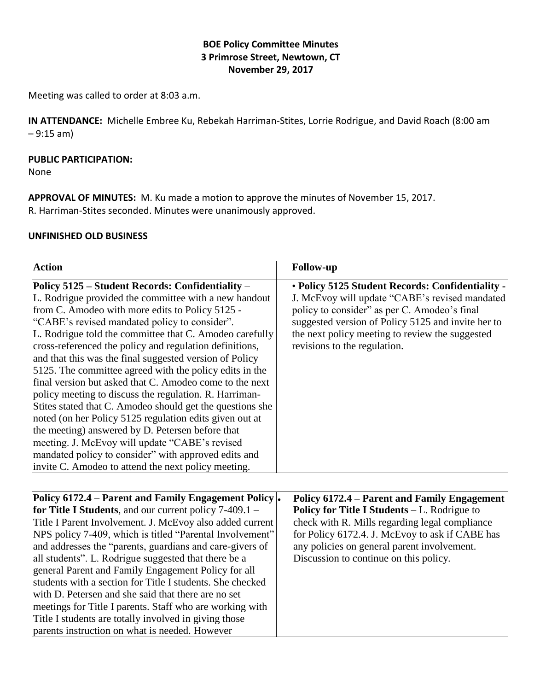# **BOE Policy Committee Minutes 3 Primrose Street, Newtown, CT November 29, 2017**

Meeting was called to order at 8:03 a.m.

**IN ATTENDANCE:** Michelle Embree Ku, Rebekah Harriman-Stites, Lorrie Rodrigue, and David Roach (8:00 am  $-9:15 \text{ am}$ 

### **PUBLIC PARTICIPATION:**

None

**APPROVAL OF MINUTES:** M. Ku made a motion to approve the minutes of November 15, 2017. R. Harriman-Stites seconded. Minutes were unanimously approved.

### **UNFINISHED OLD BUSINESS**

| <b>Action</b>                                                                                                                                                                                                                                                                                                                                                                                                                                                                                                                                                                                                                                                                                                                                                                                                                                                                                                               | <b>Follow-up</b>                                                                                                                                                                                                                                                                            |
|-----------------------------------------------------------------------------------------------------------------------------------------------------------------------------------------------------------------------------------------------------------------------------------------------------------------------------------------------------------------------------------------------------------------------------------------------------------------------------------------------------------------------------------------------------------------------------------------------------------------------------------------------------------------------------------------------------------------------------------------------------------------------------------------------------------------------------------------------------------------------------------------------------------------------------|---------------------------------------------------------------------------------------------------------------------------------------------------------------------------------------------------------------------------------------------------------------------------------------------|
| Policy 5125 – Student Records: Confidentiality –<br>L. Rodrigue provided the committee with a new handout<br>from C. Amodeo with more edits to Policy 5125 -<br>"CABE's revised mandated policy to consider".<br>L. Rodrigue told the committee that C. Amodeo carefully<br>cross-referenced the policy and regulation definitions,<br>and that this was the final suggested version of Policy<br>5125. The committee agreed with the policy edits in the<br>final version but asked that C. Amodeo come to the next<br>policy meeting to discuss the regulation. R. Harriman-<br>Stites stated that C. Amodeo should get the questions she<br>noted (on her Policy 5125 regulation edits given out at<br>the meeting) answered by D. Petersen before that<br>meeting. J. McEvoy will update "CABE's revised<br>mandated policy to consider" with approved edits and<br>invite C. Amodeo to attend the next policy meeting. | • Policy 5125 Student Records: Confidentiality -<br>J. McEvoy will update "CABE's revised mandated<br>policy to consider" as per C. Amodeo's final<br>suggested version of Policy 5125 and invite her to<br>the next policy meeting to review the suggested<br>revisions to the regulation. |

| <b>Policy 6172.4 – Parent and Family Engagement Policy.</b>   | <b>Policy 6172.4 – Parent and Family Engagement</b> |
|---------------------------------------------------------------|-----------------------------------------------------|
| <b>for Title I Students, and our current policy 7-409.1 –</b> | <b>Policy for Title I Students – L. Rodrigue to</b> |
| Title I Parent Involvement. J. McEvoy also added current      | check with R. Mills regarding legal compliance      |
| NPS policy 7-409, which is titled "Parental Involvement"      | for Policy 6172.4. J. McEvoy to ask if CABE has     |
| and addresses the "parents, guardians and care-givers of      | any policies on general parent involvement.         |
| all students". L. Rodrigue suggested that there be a          | Discussion to continue on this policy.              |
| general Parent and Family Engagement Policy for all           |                                                     |
| students with a section for Title I students. She checked     |                                                     |
| with D. Petersen and she said that there are no set           |                                                     |
| meetings for Title I parents. Staff who are working with      |                                                     |
| Title I students are totally involved in giving those         |                                                     |
| parents instruction on what is needed. However                |                                                     |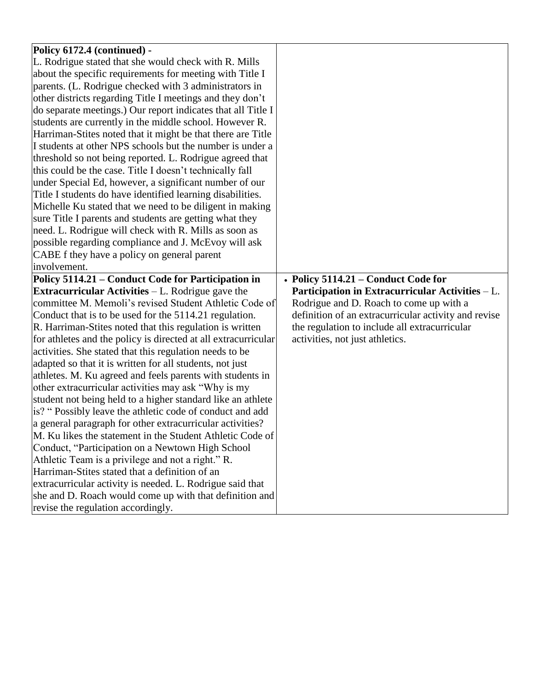| Policy 6172.4 (continued) -                                    |                                                      |
|----------------------------------------------------------------|------------------------------------------------------|
| L. Rodrigue stated that she would check with R. Mills          |                                                      |
| about the specific requirements for meeting with Title I       |                                                      |
| parents. (L. Rodrigue checked with 3 administrators in         |                                                      |
| other districts regarding Title I meetings and they don't      |                                                      |
| do separate meetings.) Our report indicates that all Title I   |                                                      |
| students are currently in the middle school. However R.        |                                                      |
| Harriman-Stites noted that it might be that there are Title    |                                                      |
| I students at other NPS schools but the number is under a      |                                                      |
| threshold so not being reported. L. Rodrigue agreed that       |                                                      |
| this could be the case. Title I doesn't technically fall       |                                                      |
| under Special Ed, however, a significant number of our         |                                                      |
| Title I students do have identified learning disabilities.     |                                                      |
| Michelle Ku stated that we need to be diligent in making       |                                                      |
| sure Title I parents and students are getting what they        |                                                      |
| need. L. Rodrigue will check with R. Mills as soon as          |                                                      |
| possible regarding compliance and J. McEvoy will ask           |                                                      |
| CABE f they have a policy on general parent                    |                                                      |
| involvement.                                                   |                                                      |
| Policy 5114.21 - Conduct Code for Participation in             | • Policy 5114.21 – Conduct Code for                  |
|                                                                |                                                      |
| <b>Extracurricular Activities</b> $-L$ . Rodrigue gave the     | Participation in Extracurricular Activities - L.     |
| committee M. Memoli's revised Student Athletic Code of         | Rodrigue and D. Roach to come up with a              |
| Conduct that is to be used for the 5114.21 regulation.         | definition of an extracurricular activity and revise |
| R. Harriman-Stites noted that this regulation is written       | the regulation to include all extracurricular        |
| for athletes and the policy is directed at all extracurricular | activities, not just athletics.                      |
| activities. She stated that this regulation needs to be        |                                                      |
| adapted so that it is written for all students, not just       |                                                      |
| athletes. M. Ku agreed and feels parents with students in      |                                                      |
| other extracurricular activities may ask "Why is my            |                                                      |
| student not being held to a higher standard like an athlete    |                                                      |
| is? "Possibly leave the athletic code of conduct and add       |                                                      |
| a general paragraph for other extracurricular activities?      |                                                      |
| M. Ku likes the statement in the Student Athletic Code of      |                                                      |
| Conduct, "Participation on a Newtown High School               |                                                      |
| Athletic Team is a privilege and not a right." R.              |                                                      |
| Harriman-Stites stated that a definition of an                 |                                                      |
| extracurricular activity is needed. L. Rodrigue said that      |                                                      |
| she and D. Roach would come up with that definition and        |                                                      |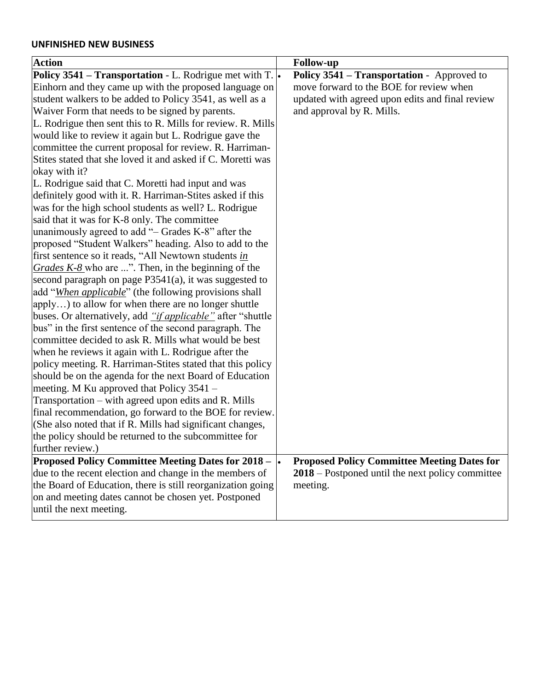### **UNFINISHED NEW BUSINESS**

| <b>Action</b>                                                                | <b>Follow-up</b>                                   |
|------------------------------------------------------------------------------|----------------------------------------------------|
| <b>Policy 3541 – Transportation - L. Rodrigue met with T.</b>                | Policy 3541 - Transportation - Approved to         |
| Einhorn and they came up with the proposed language on                       | move forward to the BOE for review when            |
| student walkers to be added to Policy 3541, as well as a                     | updated with agreed upon edits and final review    |
| Waiver Form that needs to be signed by parents.                              | and approval by R. Mills.                          |
| L. Rodrigue then sent this to R. Mills for review. R. Mills                  |                                                    |
| would like to review it again but L. Rodrigue gave the                       |                                                    |
| committee the current proposal for review. R. Harriman-                      |                                                    |
| Stites stated that she loved it and asked if C. Moretti was                  |                                                    |
| okay with it?                                                                |                                                    |
| L. Rodrigue said that C. Moretti had input and was                           |                                                    |
| definitely good with it. R. Harriman-Stites asked if this                    |                                                    |
| was for the high school students as well? L. Rodrigue                        |                                                    |
| said that it was for K-8 only. The committee                                 |                                                    |
| unanimously agreed to add "- Grades K-8" after the                           |                                                    |
| proposed "Student Walkers" heading. Also to add to the                       |                                                    |
| first sentence so it reads, "All Newtown students in                         |                                                    |
| Grades $K-8$ who are ". Then, in the beginning of the                        |                                                    |
| second paragraph on page $P3541(a)$ , it was suggested to                    |                                                    |
| add "When applicable" (the following provisions shall                        |                                                    |
| apply) to allow for when there are no longer shuttle                         |                                                    |
| buses. Or alternatively, add " <i>if applicable</i> " after "shuttle         |                                                    |
| bus" in the first sentence of the second paragraph. The                      |                                                    |
| committee decided to ask R. Mills what would be best                         |                                                    |
| when he reviews it again with L. Rodrigue after the                          |                                                    |
| policy meeting. R. Harriman-Stites stated that this policy                   |                                                    |
| should be on the agenda for the next Board of Education                      |                                                    |
| meeting. M Ku approved that Policy 3541 –                                    |                                                    |
| Transportation – with agreed upon edits and R. Mills                         |                                                    |
| final recommendation, go forward to the BOE for review.                      |                                                    |
| (She also noted that if R. Mills had significant changes,                    |                                                    |
| the policy should be returned to the subcommittee for                        |                                                    |
| further review.)                                                             |                                                    |
| <b>Proposed Policy Committee Meeting Dates for 2018 – <math>\cdot</math></b> | <b>Proposed Policy Committee Meeting Dates for</b> |
| due to the recent election and change in the members of                      | 2018 – Postponed until the next policy committee   |
| the Board of Education, there is still reorganization going                  | meeting.                                           |
| on and meeting dates cannot be chosen yet. Postponed                         |                                                    |
| until the next meeting.                                                      |                                                    |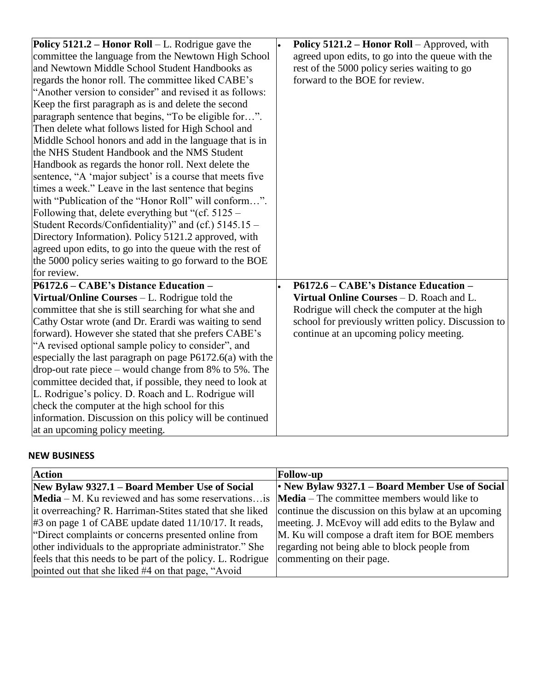| <b>Policy 5121.2 – Honor Roll</b> – L. Rodrigue gave the    | Policy 5121.2 – Honor Roll – Approved, with         |
|-------------------------------------------------------------|-----------------------------------------------------|
| committee the language from the Newtown High School         | agreed upon edits, to go into the queue with the    |
| and Newtown Middle School Student Handbooks as              | rest of the 5000 policy series waiting to go        |
| regards the honor roll. The committee liked CABE's          | forward to the BOE for review.                      |
| "Another version to consider" and revised it as follows:    |                                                     |
| Keep the first paragraph as is and delete the second        |                                                     |
| paragraph sentence that begins, "To be eligible for".       |                                                     |
| Then delete what follows listed for High School and         |                                                     |
| Middle School honors and add in the language that is in     |                                                     |
| the NHS Student Handbook and the NMS Student                |                                                     |
| Handbook as regards the honor roll. Next delete the         |                                                     |
| sentence, "A 'major subject' is a course that meets five    |                                                     |
| times a week." Leave in the last sentence that begins       |                                                     |
| with "Publication of the "Honor Roll" will conform".        |                                                     |
| Following that, delete everything but "(cf. 5125 –          |                                                     |
| Student Records/Confidentiality)" and (cf.) 5145.15 –       |                                                     |
| Directory Information). Policy 5121.2 approved, with        |                                                     |
| agreed upon edits, to go into the queue with the rest of    |                                                     |
| the 5000 policy series waiting to go forward to the BOE     |                                                     |
| for review.                                                 |                                                     |
| P6172.6 – CABE's Distance Education –                       | P6172.6 - CABE's Distance Education -               |
| Virtual/Online Courses $-L$ . Rodrigue told the             | Virtual Online Courses - D. Roach and L.            |
| committee that she is still searching for what she and      | Rodrigue will check the computer at the high        |
| Cathy Ostar wrote (and Dr. Erardi was waiting to send       | school for previously written policy. Discussion to |
| forward). However she stated that she prefers CABE's        | continue at an upcoming policy meeting.             |
| "A revised optional sample policy to consider", and         |                                                     |
| especially the last paragraph on page $P6172.6(a)$ with the |                                                     |
| drop-out rate piece $-$ would change from 8% to 5%. The     |                                                     |
| committee decided that, if possible, they need to look at   |                                                     |
| L. Rodrigue's policy. D. Roach and L. Rodrigue will         |                                                     |
| check the computer at the high school for this              |                                                     |
| information. Discussion on this policy will be continued    |                                                     |
| at an upcoming policy meeting.                              |                                                     |

## **NEW BUSINESS**

| <b>Action</b>                                               | <b>Follow-up</b>                                     |
|-------------------------------------------------------------|------------------------------------------------------|
| New Bylaw 9327.1 – Board Member Use of Social               | • New Bylaw 9327.1 - Board Member Use of Social      |
| <b>Media</b> – M. Ku reviewed and has some reservations is  | Media – The committee members would like to          |
| it overreaching? R. Harriman-Stites stated that she liked   | continue the discussion on this bylaw at an upcoming |
| $\#3$ on page 1 of CABE update dated 11/10/17. It reads,    | meeting. J. McEvoy will add edits to the Bylaw and   |
| "Direct complaints or concerns presented online from        | M. Ku will compose a draft item for BOE members      |
| other individuals to the appropriate administrator." She    | regarding not being able to block people from        |
| feels that this needs to be part of the policy. L. Rodrigue | commenting on their page.                            |
| pointed out that she liked #4 on that page, "Avoid"         |                                                      |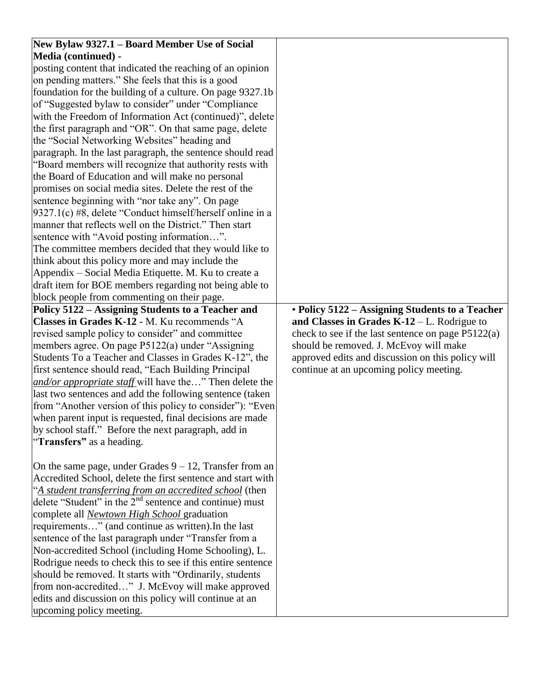| New Bylaw 9327.1 - Board Member Use of Social                                                                         |                                                      |
|-----------------------------------------------------------------------------------------------------------------------|------------------------------------------------------|
| <b>Media (continued) -</b>                                                                                            |                                                      |
| posting content that indicated the reaching of an opinion                                                             |                                                      |
| on pending matters." She feels that this is a good                                                                    |                                                      |
| foundation for the building of a culture. On page 9327.1b                                                             |                                                      |
| of "Suggested bylaw to consider" under "Compliance                                                                    |                                                      |
| with the Freedom of Information Act (continued)", delete                                                              |                                                      |
| the first paragraph and "OR". On that same page, delete                                                               |                                                      |
| the "Social Networking Websites" heading and                                                                          |                                                      |
| paragraph. In the last paragraph, the sentence should read                                                            |                                                      |
| "Board members will recognize that authority rests with                                                               |                                                      |
| the Board of Education and will make no personal                                                                      |                                                      |
| promises on social media sites. Delete the rest of the                                                                |                                                      |
| sentence beginning with "nor take any". On page                                                                       |                                                      |
| 9327.1(c) #8, delete "Conduct himself/herself online in a                                                             |                                                      |
| manner that reflects well on the District." Then start                                                                |                                                      |
| sentence with "Avoid posting information".                                                                            |                                                      |
| The committee members decided that they would like to                                                                 |                                                      |
| think about this policy more and may include the                                                                      |                                                      |
| Appendix – Social Media Etiquette. M. Ku to create a                                                                  |                                                      |
| draft item for BOE members regarding not being able to                                                                |                                                      |
| block people from commenting on their page.                                                                           |                                                      |
| Policy 5122 - Assigning Students to a Teacher and                                                                     | • Policy 5122 - Assigning Students to a Teacher      |
| Classes in Grades K-12 - M. Ku recommends "A                                                                          | and Classes in Grades $K-12$ – L. Rodrigue to        |
| revised sample policy to consider" and committee                                                                      | check to see if the last sentence on page $P5122(a)$ |
| members agree. On page P5122(a) under "Assigning                                                                      | should be removed. J. McEvoy will make               |
| Students To a Teacher and Classes in Grades K-12", the                                                                | approved edits and discussion on this policy will    |
| first sentence should read, "Each Building Principal                                                                  | continue at an upcoming policy meeting.              |
| and/or appropriate staff will have the" Then delete the                                                               |                                                      |
| last two sentences and add the following sentence (taken                                                              |                                                      |
| from "Another version of this policy to consider"): "Even<br>when parent input is requested, final decisions are made |                                                      |
| by school staff." Before the next paragraph, add in                                                                   |                                                      |
| "Transfers" as a heading.                                                                                             |                                                      |
|                                                                                                                       |                                                      |
|                                                                                                                       |                                                      |
|                                                                                                                       |                                                      |
| On the same page, under Grades $9 - 12$ , Transfer from an                                                            |                                                      |
| Accredited School, delete the first sentence and start with                                                           |                                                      |
| "A student transferring from an accredited school (then                                                               |                                                      |
| delete "Student" in the $2nd$ sentence and continue) must                                                             |                                                      |
| complete all <i>Newtown High School</i> graduation                                                                    |                                                      |
| requirements" (and continue as written). In the last                                                                  |                                                      |
| sentence of the last paragraph under "Transfer from a<br>Non-accredited School (including Home Schooling), L.         |                                                      |
| Rodrigue needs to check this to see if this entire sentence                                                           |                                                      |
| should be removed. It starts with "Ordinarily, students                                                               |                                                      |
| from non-accredited" J. McEvoy will make approved                                                                     |                                                      |
| edits and discussion on this policy will continue at an                                                               |                                                      |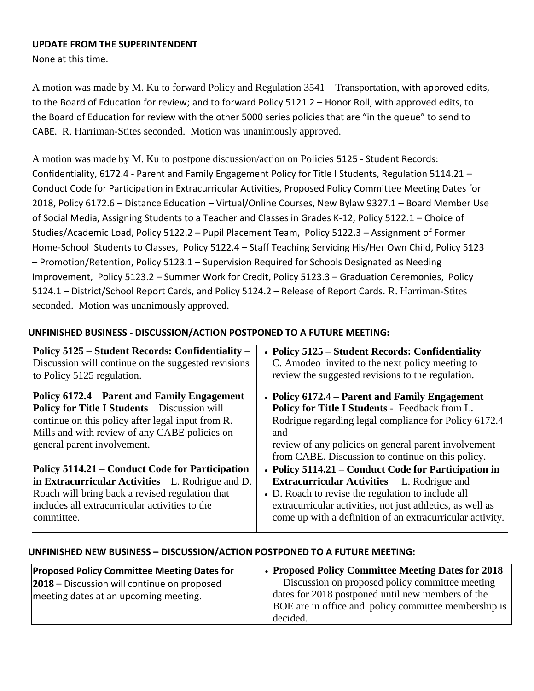#### **UPDATE FROM THE SUPERINTENDENT**

None at this time.

A motion was made by M. Ku to forward Policy and Regulation 3541 – Transportation, with approved edits, to the Board of Education for review; and to forward Policy 5121.2 – Honor Roll, with approved edits, to the Board of Education for review with the other 5000 series policies that are "in the queue" to send to CABE. R. Harriman-Stites seconded. Motion was unanimously approved.

A motion was made by M. Ku to postpone discussion/action on Policies 5125 - Student Records: Confidentiality, 6172.4 - Parent and Family Engagement Policy for Title I Students, Regulation 5114.21 – Conduct Code for Participation in Extracurricular Activities, Proposed Policy Committee Meeting Dates for 2018, Policy 6172.6 – Distance Education – Virtual/Online Courses, New Bylaw 9327.1 – Board Member Use of Social Media, Assigning Students to a Teacher and Classes in Grades K-12, Policy 5122.1 – Choice of Studies/Academic Load, Policy 5122.2 – Pupil Placement Team, Policy 5122.3 – Assignment of Former Home-School Students to Classes, Policy 5122.4 – Staff Teaching Servicing His/Her Own Child, Policy 5123 – Promotion/Retention, Policy 5123.1 – Supervision Required for Schools Designated as Needing Improvement, Policy 5123.2 – Summer Work for Credit, Policy 5123.3 – Graduation Ceremonies, Policy 5124.1 – District/School Report Cards, and Policy 5124.2 – Release of Report Cards. R. Harriman-Stites seconded. Motion was unanimously approved.

| • Policy 5125 – Student Records: Confidentiality<br>C. Amodeo invited to the next policy meeting to<br>review the suggested revisions to the regulation. |
|----------------------------------------------------------------------------------------------------------------------------------------------------------|
| • Policy 6172.4 – Parent and Family Engagement                                                                                                           |
| Policy for Title I Students - Feedback from L.                                                                                                           |
| Rodrigue regarding legal compliance for Policy 6172.4                                                                                                    |
| and                                                                                                                                                      |
| review of any policies on general parent involvement                                                                                                     |
| from CABE. Discussion to continue on this policy.                                                                                                        |
| • Policy 5114.21 – Conduct Code for Participation in                                                                                                     |
| <b>Extracurricular Activities - L. Rodrigue and</b>                                                                                                      |
| • D. Roach to revise the regulation to include all                                                                                                       |
| extracurricular activities, not just athletics, as well as                                                                                               |
| come up with a definition of an extracurricular activity.                                                                                                |
|                                                                                                                                                          |

## **UNFINISHED BUSINESS - DISCUSSION/ACTION POSTPONED TO A FUTURE MEETING:**

### **UNFINISHED NEW BUSINESS – DISCUSSION/ACTION POSTPONED TO A FUTURE MEETING:**

| <b>Proposed Policy Committee Meeting Dates for</b> | • Proposed Policy Committee Meeting Dates for 2018   |
|----------------------------------------------------|------------------------------------------------------|
| <b>2018</b> – Discussion will continue on proposed | - Discussion on proposed policy committee meeting    |
| meeting dates at an upcoming meeting.              | dates for 2018 postponed until new members of the    |
|                                                    | BOE are in office and policy committee membership is |
|                                                    | decided.                                             |